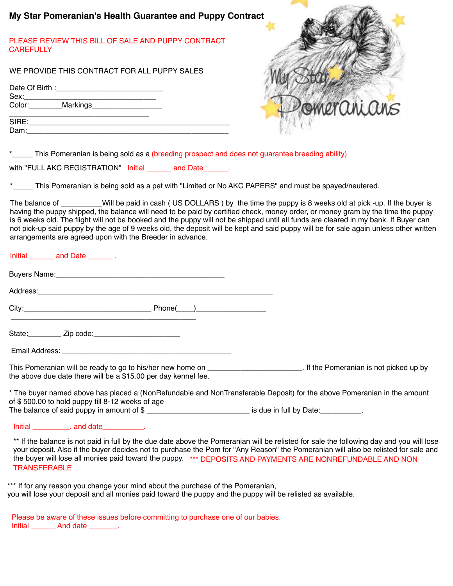| My Star Pomeranian's Health Guarantee and Puppy Contract                                            |             |
|-----------------------------------------------------------------------------------------------------|-------------|
| PLEASE REVIEW THIS BILL OF SALE AND PUPPY CONTRACT<br><b>CAREFULLY</b>                              |             |
| WE PROVIDE THIS CONTRACT FOR ALL PUPPY SALES                                                        |             |
|                                                                                                     |             |
| Color: Markings                                                                                     | Domeranians |
|                                                                                                     |             |
| *<br>This Pomeranian is being sold as a (breeding prospect and does not guarantee breeding ability) |             |
| with "FULL AKC REGISTRATION" Initial<br>and Date                                                    |             |

This Pomeranian is being sold as a pet with "Limited or No AKC PAPERS" and must be spayed/neutered.

The balance of \_\_\_\_\_\_\_\_\_\_Will be paid in cash (US DOLLARS) by the time the puppy is 8 weeks old at pick -up. If the buyer is having the puppy shipped, the balance will need to be paid by certified check, money order, or money gram by the time the puppy is 6 weeks old. The flight will not be booked and the puppy will not be shipped until all funds are cleared in my bank. If Buyer can not pick-up said puppy by the age of 9 weeks old, the deposit will be kept and said puppy will be for sale again unless other written arrangements are agreed upon with the Breeder in advance.

| Initial and Date .                                                                                             |                                                                                                                         |
|----------------------------------------------------------------------------------------------------------------|-------------------------------------------------------------------------------------------------------------------------|
| Buyers Name: Manual Manual Manual Manual Manual Manual Manual Manual Manual Manual Manual Manual Manual Manual |                                                                                                                         |
| Address: 2008 and 2008 and 2008 and 2008 and 2008 and 2008 and 2008 and 2008 and 2008 and 2008 and 2008 and 20 |                                                                                                                         |
|                                                                                                                |                                                                                                                         |
| State: __________ Zip code: __________________________                                                         |                                                                                                                         |
|                                                                                                                |                                                                                                                         |
| the above due date there will be a \$15.00 per day kennel fee.                                                 |                                                                                                                         |
| of \$500.00 to hold puppy till 8-12 weeks of age                                                               | * The buyer named above has placed a (NonRefundable and NonTransferable Deposit) for the above Pomeranian in the amount |

The balance of said puppy in amount of  $\$$  \_\_\_\_\_\_\_\_\_\_\_\_\_\_\_\_\_\_\_\_\_\_\_\_\_\_\_\_\_\_\_ is due in full by Date:\_\_\_\_\_\_\_\_\_\_\_\_.

Initial \_\_\_\_\_\_\_\_\_. and date\_\_\_\_\_\_\_\_\_\_.

\*\* If the balance is not paid in full by the due date above the Pomeranian will be relisted for sale the following day and you will lose your deposit. Also if the buyer decides not to purchase the Pom for "Any Reason" the Pomeranian will also be relisted for sale and the buyer will lose all monies paid toward the puppy. \*\*\* DEPOSITS AND PAYMENTS ARE NONREFUNDABLE AND NON **TRANSFERABLE** 

\*\*\* If for any reason you change your mind about the purchase of the Pomeranian, you will lose your deposit and all monies paid toward the puppy and the puppy will be relisted as available.

Please be aware of these issues before committing to purchase one of our babies. Initial And date the set of the And date the set of the set of the set of the set of the set of the set of the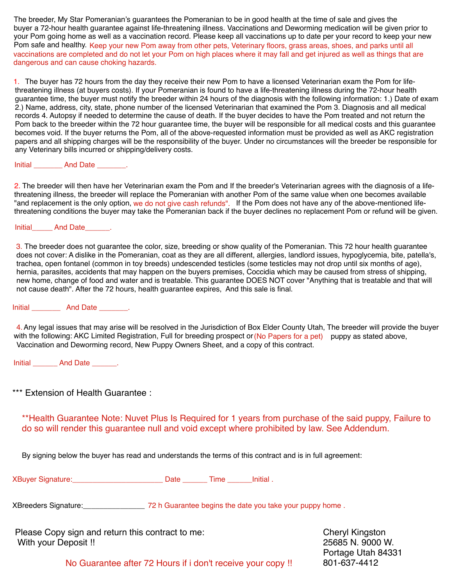The breeder, My Star Pomeranian's guarantees the Pomeranian to be in good health at the time of sale and gives the buyer a 72-hour health guarantee against life-threatening illness. Vaccinations and Deworming medication will be given prior to your Pom going home as well as a vaccination record. Please keep all vaccinations up to date per your record to keep your new Pom safe and healthy. Keep your new Pom away from other pets, Veterinary floors, grass areas, shoes, and parks until all vaccinations are completed and do not let your Pom on high places where it may fall and get injured as well as things that are dangerous and can cause choking hazards.

1. The buyer has 72 hours from the day they receive their new Pom to have a licensed Veterinarian exam the Pom for lifethreatening illness (at buyers costs). If your Pomeranian is found to have a life-threatening illness during the 72-hour health guarantee time, the buyer must notify the breeder within 24 hours of the diagnosis with the following information: 1.) Date of exam 2.) Name, address, city, state, phone number of the licensed Veterinarian that examined the Pom 3. Diagnosis and all medical records 4. Autopsy if needed to determine the cause of death. If the buyer decides to have the Pom treated and not return the Pom back to the breeder within the 72 hour guarantee time, the buyer will be responsible for all medical costs and this guarantee becomes void. If the buyer returns the Pom, all of the above-requested information must be provided as well as AKC registration papers and all shipping charges will be the responsibility of the buyer. Under no circumstances will the breeder be responsible for any Veterinary bills incurred or shipping/delivery costs.

## Initial \_\_\_\_\_\_\_\_\_\_ And Date \_\_\_\_\_\_\_\_.

2. The breeder will then have her Veterinarian exam the Pom and If the breeder's Veterinarian agrees with the diagnosis of a lifethreatening illness, the breeder will replace the Pomeranian with another Pom of the same value when one becomes available "and replacement is the only option, we do not give cash refunds". If the Pom does not have any of the above-mentioned lifethreatening conditions the buyer may take the Pomeranian back if the buyer declines no replacement Pom or refund will be given.

Initial And Date .

3. The breeder does not guarantee the color, size, breeding or show quality of the Pomeranian. This 72 hour health guarantee does not cover: A dislike in the Pomeranian, coat as they are all different, allergies, landlord issues, hypoglycemia, bite, patella's, trachea, open fontanel (common in toy breeds) undescended testicles (some testicles may not drop until six months of age), hernia, parasites, accidents that may happen on the buyers premises, Coccidia which may be caused from stress of shipping, new home, change of food and water and is treatable. This guarantee DOES NOT cover "Anything that is treatable and that will not cause death". After the 72 hours, health guarantee expires, And this sale is final.

## Initial **And Date**  2008.

4. Any legal issues that may arise will be resolved in the Jurisdiction of Box Elder County Utah, The breeder will provide the buyer with the following: AKC Limited Registration, Full for breeding prospect or (No Papers for a pet) puppy as stated above, Vaccination and Deworming record, New Puppy Owners Sheet, and a copy of this contract.

Initial And Date And Date

\*\*\* Extension of Health Guarantee :

\*\*Health Guarantee Note: Nuvet Plus Is Required for 1 years from purchase of the said puppy, Failure to do so will render this guarantee null and void except where prohibited by law. See Addendum.

By signing below the buyer has read and understands the terms of this contract and is in full agreement:

XBuyer Signature:\_\_\_\_\_\_\_\_\_\_\_\_\_\_\_\_\_\_\_\_\_\_ Date \_\_\_\_\_\_ Time \_\_\_\_\_\_Initial .

72 h Guarantee begins the date you take your puppy home . XBreeders Signature:\_\_\_\_\_\_\_\_\_\_\_\_\_\_\_

Please Copy sign and return this contract to me: With your Deposit !!

Cheryl Kingston 25685 N. 9000 W. Portage Utah 84331

No Guarantee after 72 Hours if i don't receive your copy !! 801-637-4412